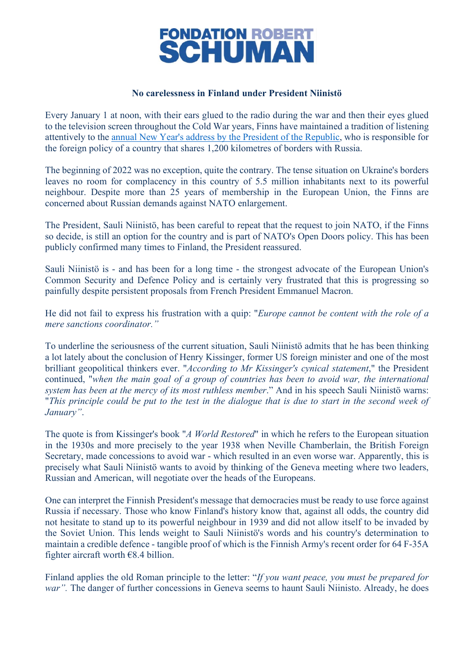

## **No carelessness in Finland under President Niinistö**

Every January 1 at noon, with their ears glued to the radio during the war and then their eyes glued to the television screen throughout the Cold War years, Finns have maintained a tradition of listening attentively to the [annual New Year's address by the President of the Republic,](https://www.presidentti.fi/en/speeches/president-of-the-republic-of-finland-sauli-niinistos-new-years-speech-on-1-january-2022/) who is responsible for the foreign policy of a country that shares 1,200 kilometres of borders with Russia.

The beginning of 2022 was no exception, quite the contrary. The tense situation on Ukraine's borders leaves no room for complacency in this country of 5.5 million inhabitants next to its powerful neighbour. Despite more than 25 years of membership in the European Union, the Finns are concerned about Russian demands against NATO enlargement.

The President, Sauli Niinistö, has been careful to repeat that the request to join NATO, if the Finns so decide, is still an option for the country and is part of NATO's Open Doors policy. This has been publicly confirmed many times to Finland, the President reassured.

Sauli Niinistö is - and has been for a long time - the strongest advocate of the European Union's Common Security and Defence Policy and is certainly very frustrated that this is progressing so painfully despite persistent proposals from French President Emmanuel Macron.

He did not fail to express his frustration with a quip: "*Europe cannot be content with the role of a mere sanctions coordinator."*

To underline the seriousness of the current situation, Sauli Niinistö admits that he has been thinking a lot lately about the conclusion of Henry Kissinger, former US foreign minister and one of the most brilliant geopolitical thinkers ever. "*According to Mr Kissinger's cynical statement*," the President continued, "*when the main goal of a group of countries has been to avoid war, the international system has been at the mercy of its most ruthless member*." And in his speech Sauli Niinistö warns: "*This principle could be put to the test in the dialogue that is due to start in the second week of January"*.

The quote is from Kissinger's book "*A World Restored*" in which he refers to the European situation in the 1930s and more precisely to the year 1938 when Neville Chamberlain, the British Foreign Secretary, made concessions to avoid war - which resulted in an even worse war. Apparently, this is precisely what Sauli Niinistö wants to avoid by thinking of the Geneva meeting where two leaders, Russian and American, will negotiate over the heads of the Europeans.

One can interpret the Finnish President's message that democracies must be ready to use force against Russia if necessary. Those who know Finland's history know that, against all odds, the country did not hesitate to stand up to its powerful neighbour in 1939 and did not allow itself to be invaded by the Soviet Union. This lends weight to Sauli Niinistö's words and his country's determination to maintain a credible defence - tangible proof of which is the Finnish Army's recent order for 64 F-35A fighter aircraft worth  $€8.4$  billion.

Finland applies the old Roman principle to the letter: "*If you want peace, you must be prepared for war"*. The danger of further concessions in Geneva seems to haunt Sauli Niinisto. Already, he does